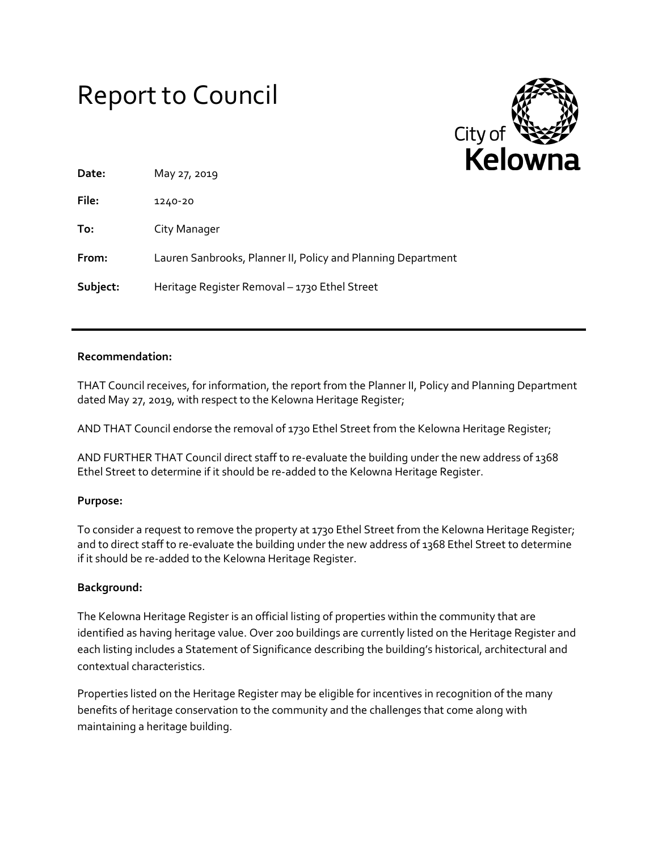# Report to Council



| Date:    | May 27, 2019                                                 |
|----------|--------------------------------------------------------------|
| File:    | 1240-20                                                      |
| To:      | City Manager                                                 |
| From:    | Lauren Sanbrooks, Planner II, Policy and Planning Department |
| Subject: | Heritage Register Removal - 1730 Ethel Street                |

### **Recommendation:**

THAT Council receives, for information, the report from the Planner II, Policy and Planning Department dated May 27, 2019, with respect to the Kelowna Heritage Register;

AND THAT Council endorse the removal of 1730 Ethel Street from the Kelowna Heritage Register;

AND FURTHER THAT Council direct staff to re-evaluate the building under the new address of 1368 Ethel Street to determine if it should be re-added to the Kelowna Heritage Register.

#### **Purpose:**

To consider a request to remove the property at 1730 Ethel Street from the Kelowna Heritage Register; and to direct staff to re-evaluate the building under the new address of 1368 Ethel Street to determine if it should be re-added to the Kelowna Heritage Register.

## **Background:**

The Kelowna Heritage Register is an official listing of properties within the community that are identified as having heritage value. Over 200 buildings are currently listed on the Heritage Register and each listing includes a Statement of Significance describing the building's historical, architectural and contextual characteristics.

Properties listed on the Heritage Register may be eligible for incentives in recognition of the many benefits of heritage conservation to the community and the challenges that come along with maintaining a heritage building.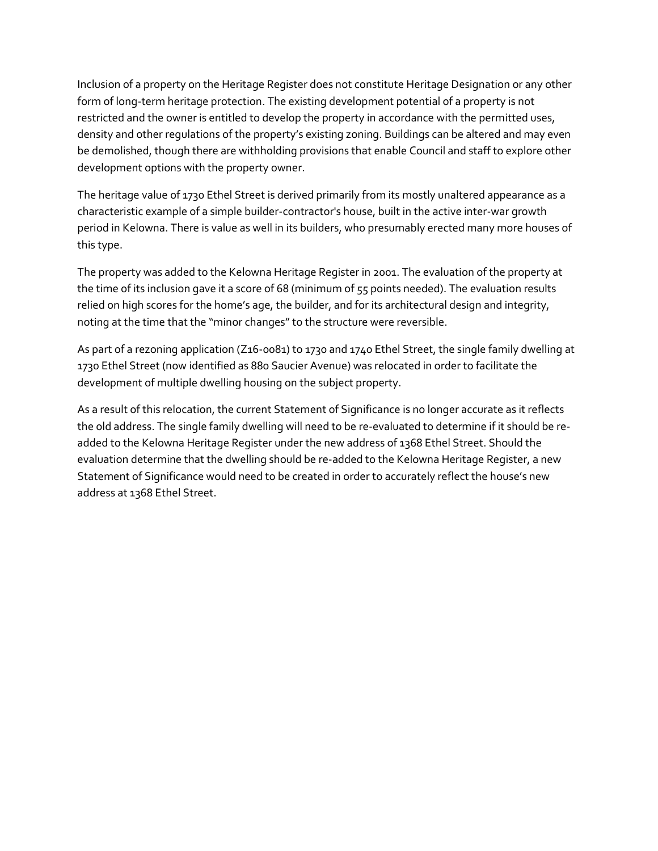Inclusion of a property on the Heritage Register does not constitute Heritage Designation or any other form of long-term heritage protection. The existing development potential of a property is not restricted and the owner is entitled to develop the property in accordance with the permitted uses, density and other regulations of the property's existing zoning. Buildings can be altered and may even be demolished, though there are withholding provisions that enable Council and staff to explore other development options with the property owner.

The heritage value of 1730 Ethel Street is derived primarily from its mostly unaltered appearance as a characteristic example of a simple builder-contractor's house, built in the active inter-war growth period in Kelowna. There is value as well in its builders, who presumably erected many more houses of this type.

The property was added to the Kelowna Heritage Register in 2001. The evaluation of the property at the time of its inclusion gave it a score of 68 (minimum of 55 points needed). The evaluation results relied on high scores for the home's age, the builder, and for its architectural design and integrity, noting at the time that the "minor changes" to the structure were reversible.

As part of a rezoning application (Z16-0081) to 1730 and 1740 Ethel Street, the single family dwelling at 1730 Ethel Street (now identified as 880 Saucier Avenue) was relocated in order to facilitate the development of multiple dwelling housing on the subject property.

As a result of this relocation, the current Statement of Significance is no longer accurate as it reflects the old address. The single family dwelling will need to be re-evaluated to determine if it should be readded to the Kelowna Heritage Register under the new address of 1368 Ethel Street. Should the evaluation determine that the dwelling should be re-added to the Kelowna Heritage Register, a new Statement of Significance would need to be created in order to accurately reflect the house's new address at 1368 Ethel Street.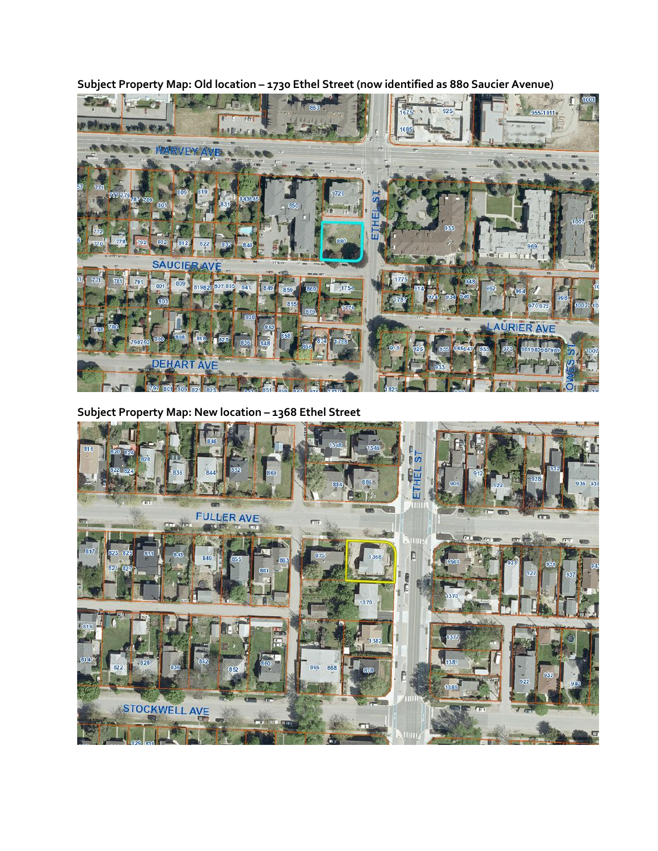**Subject Property Map: Old location – 1730 Ethel Street (now identified as 880 Saucier Avenue)**



**Subject Property Map: New location – 1368 Ethel Street**

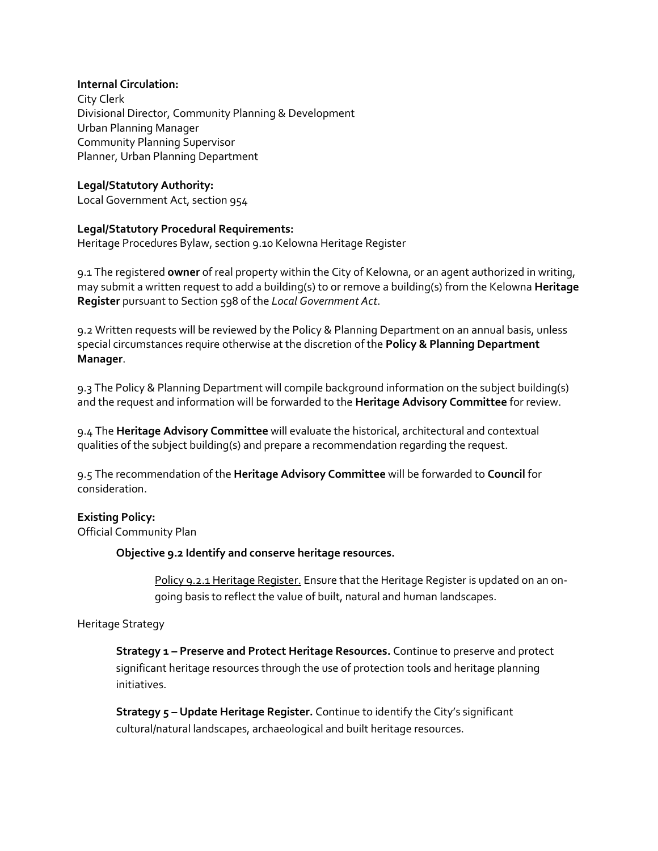#### **Internal Circulation:**

City Clerk Divisional Director, Community Planning & Development Urban Planning Manager Community Planning Supervisor Planner, Urban Planning Department

## **Legal/Statutory Authority:**

Local Government Act, section 954

#### **Legal/Statutory Procedural Requirements:**

Heritage Procedures Bylaw, section 9.10 Kelowna Heritage Register

9.1 The registered **owner** of real property within the City of Kelowna, or an agent authorized in writing, may submit a written request to add a building(s) to or remove a building(s) from the Kelowna **Heritage Register** pursuant to Section 598 of the *Local Government Act*.

9.2 Written requests will be reviewed by the Policy & Planning Department on an annual basis, unless special circumstances require otherwise at the discretion of the **Policy & Planning Department Manager**.

9.3 The Policy & Planning Department will compile background information on the subject building(s) and the request and information will be forwarded to the **Heritage Advisory Committee** for review.

9.4 The **Heritage Advisory Committee** will evaluate the historical, architectural and contextual qualities of the subject building(s) and prepare a recommendation regarding the request.

9.5 The recommendation of the **Heritage Advisory Committee** will be forwarded to **Council** for consideration.

## **Existing Policy:**

Official Community Plan

#### **Objective 9.2 Identify and conserve heritage resources.**

Policy 9.2.1 Heritage Register. Ensure that the Heritage Register is updated on an ongoing basis to reflect the value of built, natural and human landscapes.

#### Heritage Strategy

**Strategy 1 – Preserve and Protect Heritage Resources.** Continue to preserve and protect significant heritage resources through the use of protection tools and heritage planning initiatives.

**Strategy 5 – Update Heritage Register.** Continue to identify the City's significant cultural/natural landscapes, archaeological and built heritage resources.